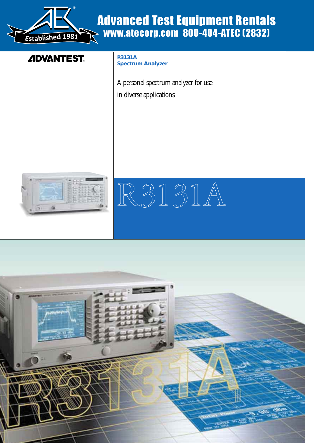

# Advanced Test Equipment Rentals www.atecorp.com 800-404-ATEC (2832)

# **ADVANTEST**

**R3131A Spectrum Analyzer**

A personal spectrum analyzer for use in diverse applications





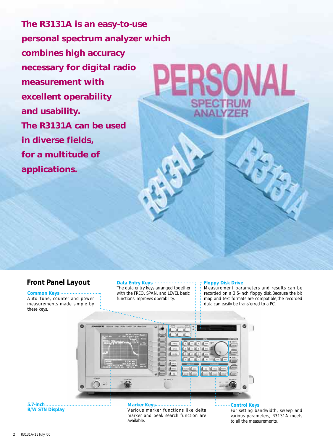**The R3131A is an easy-to-use personal spectrum analyzer which combines high accuracy necessary for digital radio measurement with excellent operability and usability. The R3131A can be used in diverse fields, for a multitude of applications.**

# **Front Panel Layout** Data Entry Keys .....................

**Common Keys** Auto Tune, counter and power measurements made simple by these keys.

The data entry keys arranged together with the FREQ, SPAN, and LEVEL basic functions improves operability.

#### **Floppy Disk Drive**

Measurement parameters and results can be recorded on a 3.5-inch floppy disk.Because the bit map and text formats are compatible,the recorded data can easily be transferred to a PC.



**5.7-inch B/W STN Display** **Marker Keys** Various marker functions like delta marker and peak search function are available.

# **ELECTION** Control Keys

For setting bandwidth, sweep and various parameters, R3131A meets to all the measurements.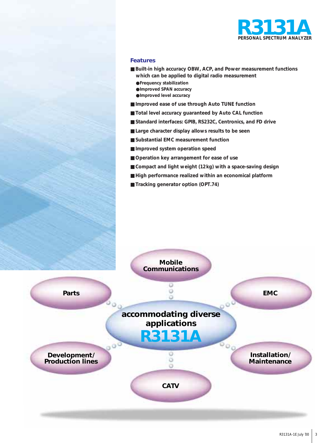

# **Features**

- **Built-in high accuracy OBW, ACP, and Power measurement functions which can be applied to digital radio measurement**
	- ●**Frequency stabilization**
	- ●**Improved SPAN accuracy**
	- ●**Improved level accuracy**
- **Improved ease of use through Auto TUNE function**
- **Total level accuracy guaranteed by Auto CAL function**
- **Standard interfaces: GPIB, RS232C, Centronics, and FD drive**
- Large character display allows results to be seen
- **Substantial EMC measurement function**
- **Improved system operation speed**
- **Operation key arrangement for ease of use**
- **Compact and light weight (12kg) with a space-saving design**
- **High performance realized within an economical platform**
- **Tracking generator option (OPT.74)**

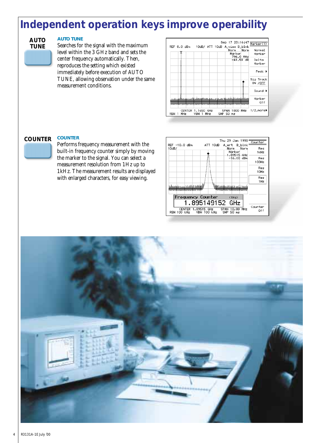# **Independent operation keys improve operability**

# **AUTO TUNE**

# **AUTO TUNE**

Searches for the signal with the maximum level within the 3 GHz band and sets the center frequency automatically. Then, reproduces the setting which existed immediately before execution of AUTO TUNE, allowing observation under the same measurement conditions.



#### **COUNTER COUNTER**

Performs frequency measurement with the built-in frequency counter simply by moving the marker to the signal. You can select a measurement resolution from 1Hz up to 1kHz. The measurement results are displayed

with enlarged characters, for easy viewing.

|                                   |                 | Thu 29 Jan 1998                                        |                |
|-----------------------------------|-----------------|--------------------------------------------------------|----------------|
|                                   |                 |                                                        | Counter        |
| REF -10.0 dBm<br>10dB/            | ATT 10dB        | A_wrt B_blnk<br>Norm<br>Norm<br>Markert<br>1.89515 GHz | Res<br>1kHz    |
|                                   |                 | $-16,00$ dBm                                           | Res<br>100Hz   |
|                                   |                 |                                                        | Res<br>10Hz    |
|                                   |                 |                                                        | Res<br>1Hz     |
| لتشتشعه فانتقباها امسع كالتحمية   |                 | فسفن والمسافا                                          |                |
| Frequency Counter                 |                 | (1Hz)                                                  |                |
|                                   | 1.895149152 GHz |                                                        |                |
| CENTER 1.89515 GHz<br>RBW 100 kHz | VBW 100 kHz     | MHz<br>SPAN<br>10.00<br>$SWP$ 50 $ms$                  | Counter<br>Off |

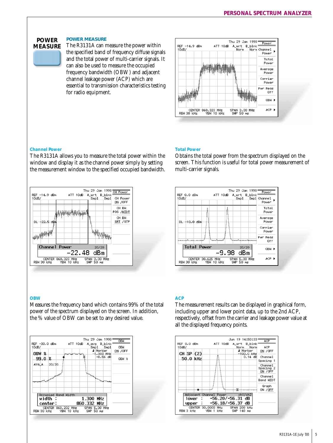## **POWER MEASURE**

The R3131A can measure the power within the specified band of frequency diffuse signals and the total power of multi-carrier signals. It can also be used to measure the occupied frequency bandwidth (OBW) and adjacent channel leakage power (ACP) which are essential to transmission characteristics testing for radio equipment.

![](_page_4_Figure_3.jpeg)

### **Channel Power**

**POWER MEASURE**

The R3131A allows you to measure the total power within the window and display it as the channel power simply by setting the measurement window to the specified occupied bandwidth.

![](_page_4_Picture_6.jpeg)

#### **OBW**

Measures the frequency band which contains 99% of the total power of the spectrum displayed on the screen. In addition, the % value of OBW can be set to any desired value.

![](_page_4_Figure_9.jpeg)

### **Total Power**

Obtains the total power from the spectrum displayed on the screen. This function is useful for total power measurement of multi-carrier signals.

![](_page_4_Figure_12.jpeg)

#### **ACP**

The measurement results can be displayed in graphical form, including upper and lower point data, up to the 2nd ACP, respectively, offset from the carrier and leakage power value at all the displayed frequency points.

![](_page_4_Figure_15.jpeg)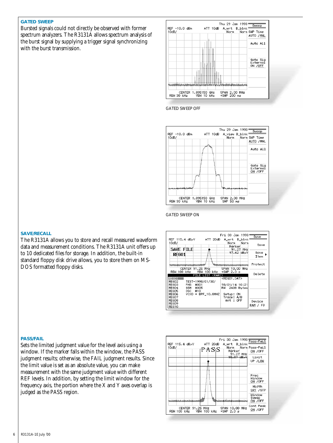# **GATED SWEEP**

Bursted signals could not directly be observed with former spectrum analyzers. The R3131A allows spectrum analysis of the burst signal by supplying a trigger signal synchronizing with the burst transmission.

![](_page_5_Figure_2.jpeg)

GATED SWEEP OFF

![](_page_5_Figure_4.jpeg)

ATT 20dB

Fri 30 Jan 1998:

Setup: ON<br>Trace: A/B<br>Ant : OFF

Norm

 $\overline{\text{Save}}$ 

Save

Save  $\overline{1}$ 

Protect

Delete

Device RAM / FD

GATED SWEEP ON

REG10

### **SAVE/RECALL**

The R3131A allows you to store and recall measured waveform data and measurement conditions. The R3131A unit offers up to 10 dedicated files for storage. In addition, the built-in standard floppy disk drive allows, you to store them on MS-DOS formatted floppy disks.

REF 115.4 dByV A\_wrt B\_blnk  $10dB/$ Norm. norm norm<br>Marker<br>- 91.27 MHz<br>- 97.62 dB*r*V SAVE FILE REGO1 CENTER 91.25 MHz<br>RBW 100 kHz VBW 100 kHz SPAN 10.00 MHz **ETLE LIST (RAME)** <REGO1.DAT> **Etemni** REGOT<br>REGO2<br>REGO3<br>REGO5<br>REGO6<br>REGO7<br>REGO6<br>REGO6<br>REGO6<br>REGO6 TEST-1998/01/30/ TEST-1998/01/30/<br>PHS #001<br>GSC @10<br>OSC @10<br>VCXO + BPF\_10.8MHZ 98/01/14 10:21<br>RW 2408 Bytes

#### **PASS/FAIL**

Sets the limited judgment value for the level axis using a window. If the marker falls within the window, the PASS judgment results; otherwise, the FAIL judgment results. Since the limit value is set as an absolute value, you can make measurement with the same judgment value with different REF levels. In addition, by setting the limit window for the frequency axis, the portion where the X and Y axes overlap is judged as the PASS region.

![](_page_5_Figure_11.jpeg)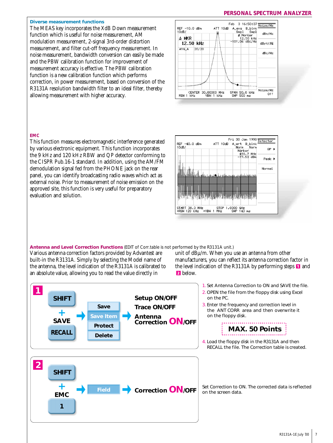# **PERSONAL SPECTRUM ANALYZER**

#### **Diverse measurement functions**

The MEAS key incorporates the XdB Down measurement function which is useful for noise measurement, AM modulation measurement, 2-signal 3rd-order distortion measurement, and filter cut-off frequency measurement. In noise measurement, bandwidth conversion can easily be made and the PBW calibration function for improvement of measurement accuracy is effective. The PBW calibration function is a new calibration function which performs correction, in power measurement, based on conversion of the R3131A resolution bandwidth filter to an ideal filter, thereby allowing measurement with higher accuracy.

![](_page_6_Figure_3.jpeg)

### **EMC**

This function measures electromagnetic interference generated by various electronic equipment. This function incorporates the 9 kHz and 120 kHz RBW and QP detector conforming to the CISPR Pub.16-1 standard. In addition, using the AM/FM demodulation signal fed from the PHONE jack on the rear panel, you can identify broadcasting radio waves which act as external noise. Prior to measurement of noise emission on the approved site, this function is very useful for preparatory evaluation and solution.

![](_page_6_Figure_6.jpeg)

#### **Antenna and Level Correction Functions** (EDIT of Corr.table is not performed by the R3131A unit.)

Various antenna correction factors provided by Advantest are built-in the R3131A. Simply by selecting the Model name of the antenna, the level indication of the R3131A is calibrated to an absolute value, allowing you to read the value directly in

unit of dBµ/m. When you use an antenna from other manufacturers, you can reflect its antenna correction factor in the level indication of the R3131A by performing steps  $\blacksquare$  and **2** below.

![](_page_6_Figure_10.jpeg)

1. Set Antenna Correction to ON and SAVE the file. 2. OPEN the file from the floppy disk using Excel on the PC.

3. Enter the frequency and correction level in the 〈ANT CORR〉 area and then overwrite it on the floppy disk.

![](_page_6_Picture_13.jpeg)

4. Load the floppy disk in the R3131A and then RECALL the file. The Correction table is created.

Set Correction to ON. The corrected data is reflected on the screen data.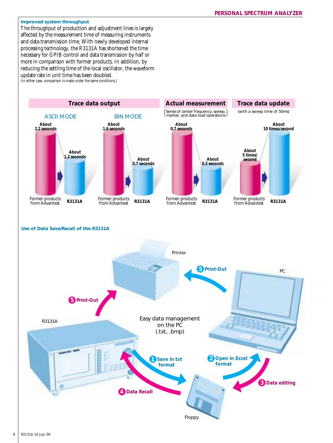### **Improved system throughput**

The throughput of production and adjustment lines is largely affected by the measurement time of measuring instruments and data transmission time. With newly developed internal processing technology, the R3131A has shortened the time necessary for GPIB control and data transmission by half or more in comparison with former products. In addition, by reducing the settling time of the local oscillator, the waveform update rate in unit time has been doubled. (In either case, comparison is made under the same conditions.)

![](_page_7_Figure_3.jpeg)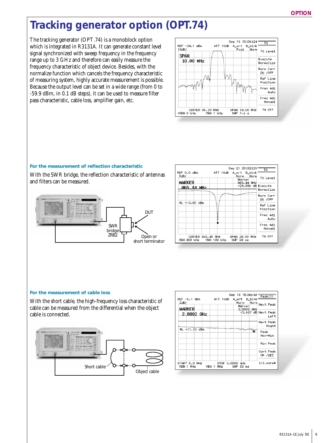# **Tracking generator option (OPT.74)**

The tracking generator (OPT.74) is a monoblock option which is integrated in R3131A. It can generate constant level signal synchronized with sweep frequency in the frequency range up to 3 GHz and therefore can easily measure the frequency characteristic of object device. Besides, with the normalize function which cancels the frequency characteristic of measuring system, highly accurate measurement is possible. Because the output level can be set in a wide range (from 0 to -59.9 dBm, in 0.1 dB steps), it can be used to measure filter pass characteristic, cable loss, amplifier gain, etc.

![](_page_8_Figure_3.jpeg)

### **For the measurement of reflection characteristic**

With the SWR bridge, the reflection characteristic of antennas and filters can be measured.

![](_page_8_Figure_6.jpeg)

| REF 0.0 dBm<br>5dB/<br>MARKER | Sep 21 09:32:33=<br>ATT 10dB A_wrt B_blnki<br>Norm<br>Norn<br>Markert<br>865.44 MHz | $\overline{\phantom{a}}$ TG<br>T6 Level |
|-------------------------------|-------------------------------------------------------------------------------------|-----------------------------------------|
| 865.44 MHz                    | -29.896 dB Execute                                                                  | Normalize                               |
|                               |                                                                                     | Norm Corr<br>ON / OFF                   |
| RL +10.00 dBm                 |                                                                                     | Ref Line<br>Position                    |
|                               |                                                                                     | Frea Adi<br>Auto                        |
|                               |                                                                                     | Freq Adj<br>Manual                      |
|                               | CENTER 865.40 MHz SPAN 20.00 MHz<br>RBM 300 kHz VBM 100 kHz SMP 50 ms               | TG Off                                  |

### **For the measurement of cable loss**

With the short cable, the high-frequency loss characteristic of cable can be measured from the differential when the object cable is connected.

![](_page_8_Figure_10.jpeg)

| $REF$ $-5.1$ dBm<br>2dB/<br>MARKER<br>2.8802 GHz | Sep 18 15:44:41 Peak(1)<br>ATT 10dB<br>A wrt B blnkf<br>Norm –<br>Markeri<br>2.8802 GHz | Norm<br>Next Peak<br>+3.667 dB Next Peak<br>Left |
|--------------------------------------------------|-----------------------------------------------------------------------------------------|--------------------------------------------------|
| $RL + 11.10$ dBm                                 | الملتمين                                                                                | Next Peak<br>Right<br>Peak<br>Max-Min            |
|                                                  |                                                                                         | Min Peak                                         |
|                                                  |                                                                                         | Cont Peak<br>ON /OFF                             |
| START 5.0 MHz<br>RBW 1 MHz                       | STOP 3,0000 GHz<br>VBW 1 MHz<br>SWP 50 ms                                               | 1/2,more▶                                        |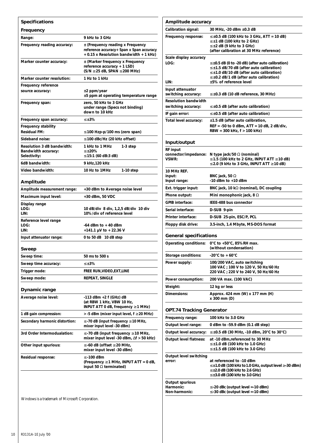| <b>Specifications</b>                 |                                                                                                                            |  |
|---------------------------------------|----------------------------------------------------------------------------------------------------------------------------|--|
| Frequency                             |                                                                                                                            |  |
| Range:                                | 9 kHz to 3 GHz                                                                                                             |  |
| Frequency reading accuracy:           | $\pm$ (Frequency reading x Frequency<br>reference accuracy+ Span x Span accuracy<br>+ 0.15 x Resolution bandwidth + 1 kHz) |  |
| Marker counter accuracy:              | ± (Marker frequency x Frequency<br>reference accuracy + 1 LSD)<br>$(S/N \ge 25 dB, SPAN \le 200 MHz)$                      |  |
| Marker counter resolution:            | 1 Hz to 1 kHz                                                                                                              |  |
| Frequency reference                   |                                                                                                                            |  |
| source accuracy:                      | $±2$ ppm/year<br>±5 ppm at operating temperature range                                                                     |  |
| Frequency span:                       | zero, 50 kHz to 3 GHz<br>under range (Specs not binding)<br>down to 10 kHz                                                 |  |
| Frequency span accuracy:              | $\leq \pm 3\%$                                                                                                             |  |
| Frequency stability                   |                                                                                                                            |  |
| <b>Residual FM:</b>                   | $\leq$ 100 Hzp-p/100 ms (zero span)                                                                                        |  |
| Sideband noise:                       | $\leq$ 100 dBc/Hz (20 kHz offset)                                                                                          |  |
| Resolution 3 dB bandwidth:            | 1 kHz to 1 MHz<br>1-3 step                                                                                                 |  |
| Bandwidth accuracy:<br>Selectivity:   | $\leq \pm 20\%$<br>≤ 15:1 (60 dB:3 dB)                                                                                     |  |
| 6dB bandwidth:                        | 9 kHz,120 kHz                                                                                                              |  |
| Video bandwidth:                      | 10 Hz to 1MHz<br>1-10 step                                                                                                 |  |
| Amplitude                             |                                                                                                                            |  |
| Amplitude measurement range:          | +30 dBm to Average noise level                                                                                             |  |
| Maximum input level:                  | +30 dBm, 50 VDC                                                                                                            |  |
| Display range<br>LOG.<br>LIN:         | 10 dB/div 8 div, 1,2,5 dB/div 10 div<br>10%/div of reference level                                                         |  |
| Reference level range<br>LOG:<br>LIN: | $-64$ dBm to $+40$ dBm<br>+141.1 µV to + 22.36 V                                                                           |  |
| Input attenuator range:               | 0 to 50 dB 10 dB step                                                                                                      |  |
|                                       |                                                                                                                            |  |
| Sweep                                 |                                                                                                                            |  |
| Sweep time:                           | 50 ms to 500 s                                                                                                             |  |
| Sweep time accuracy:                  | $\leq \pm 3\%$                                                                                                             |  |
| Trigger mode:                         | FREE RUN, VIDEO, EXT, LINE                                                                                                 |  |
| Sweep mode:                           | <b>REPEAT, SINGLE</b>                                                                                                      |  |
| Dynamic range                         |                                                                                                                            |  |
| Average noise level:                  | $-113$ dBm $+2$ f (GHz) dB<br>(at RBW 1 kHz, VBW 10 Hz,<br>INPUT ATT 0 dB, frequency $\geq 1$ MHz)                         |  |
| 1 dB gain compression:                | > -5 dBm (mixer input level, f ≥ 20 MHz)                                                                                   |  |
| Secondary harmonic distortion:        | ≤ -70 dB (input frequency ≥ 10 MHz,<br>mixer input level -30 dBm)                                                          |  |
| 3rd Order Intermodualation:           | $\le$ -70 dB (input frequency $\ge$ 10 MHz,<br>mixer input level -30 dBm, $\Delta f > 50$ kHz)                             |  |
| Other input spurious:                 | ≤ -60 dB (offset ≥ 20 MHz,<br>mixer input level -30 dBm)                                                                   |  |
| Residual response:                    | ≤ -100 dBm<br>(Frequency $\geq 1$ MHz, INPUT ATT = 0 dB,<br>input 50 $\Omega$ terminated)                                  |  |

| Amplitude accuracy                               |                                                                                                                                                                                                                                               |  |
|--------------------------------------------------|-----------------------------------------------------------------------------------------------------------------------------------------------------------------------------------------------------------------------------------------------|--|
| Calibration signal:                              | 30 MHz, -20 dBm ±0.3 dB                                                                                                                                                                                                                       |  |
| Frequency response:                              | $\leq \pm 0.5$ dB (100 kHz to 3 GHz, ATT = 10 dB)<br>$\leq \pm 1$ dB (100 kHz to 2 GHz)<br>$\leq \pm 2$ dB (9 kHz to 3 GHz)<br>(after calibration at 30 MHz reference)                                                                        |  |
| Scale display accuracy<br>LOG:<br>LIN:           | $\leq \pm 0.5$ dB (0 to -20 dB) (after auto calibration)<br>$\leq \pm 1.5$ dB/70 dB (after auto calibration)<br>$\leq \pm 1.0$ dB/10 dB (after auto calibration)<br>$\leq \pm 0.2$ dB/1 dB (after auto calibration)<br>±5% of reference level |  |
| Input attenuator<br>switching accuracy:          | $\leq \pm 0.3$ dB (10 dB reference, 30 MHz)                                                                                                                                                                                                   |  |
| <b>Resolution bandwidth</b>                      |                                                                                                                                                                                                                                               |  |
| switching accuracy:<br>IF gain error:            | $\leq \pm 0.5$ dB (after auto calibration)<br>$\leq \pm 0.5$ dB (after auto calibration)                                                                                                                                                      |  |
| Total level accuracy:                            | $\pm$ 1.5 dB (after auto calibration,<br>$REF = -50$ to 0 dBm, $ATT = 10$ dB, 2 dB/div,<br>RBW = 300 kHz, f > 100 kHz)                                                                                                                        |  |
| Input/output                                     |                                                                                                                                                                                                                                               |  |
| <b>RF</b> input<br>connector/impedance:<br>VSWR: | N type jack/50 $\Omega$ (nominal)<br>$\leq$ 1.5 (100 kHz to 2 GHz, INPUT ATT $\geq$ 10 dB)<br>$\leq$ 2.0 (9 kHz to 3 GHz, INPUT ATT $\geq$ 10 dB)                                                                                             |  |
| 10 MHz REF.<br>input:<br>Input range:            | BNC jack, 50 $\Omega$<br>$-10$ dBm to $+10$ dBm                                                                                                                                                                                               |  |
| Ext. trigger input:                              | BNC jack, 10 k $\Omega$ (nominal), DC coupling                                                                                                                                                                                                |  |
| Phone output:                                    | Mini monophonic jack, 8 $\Omega$                                                                                                                                                                                                              |  |
| <b>GPIB interface:</b>                           | IEEE-488 bus connector                                                                                                                                                                                                                        |  |
| Serial interface:                                | D-SUB 9-pin                                                                                                                                                                                                                                   |  |
| Printer interface:                               | D-SUB 25-pin, ESC/P, PCL                                                                                                                                                                                                                      |  |
| Floppy disk drive:                               | 3.5-inch, 1.4 Mbyte, MS-DOS format                                                                                                                                                                                                            |  |
| <b>General specifications</b>                    |                                                                                                                                                                                                                                               |  |
| Operating conditions:                            | 0°C to +50°C, 85%RH max.<br>(without condensation)                                                                                                                                                                                            |  |
| Storage conditions:                              | -20°C to + 60°C                                                                                                                                                                                                                               |  |
| Power supply:                                    | 100/200 VAC, auto switching<br>100 VAC; 100 V to 120 V, 50 Hz/60 Hz<br>220 VAC; 220 V to 240 V, 50 Hz/60 Hz                                                                                                                                   |  |
| Power consumption:                               | 200 VA max. (100 VAC)                                                                                                                                                                                                                         |  |
| Weight:                                          | 12 kg or less                                                                                                                                                                                                                                 |  |
| Dimensions:                                      | Approx. 424 mm (W) x 177 mm (H)<br>x 300 mm (D)                                                                                                                                                                                               |  |
| <b>OPT.74 Tracking Generator</b>                 |                                                                                                                                                                                                                                               |  |
| Frequency range:                                 | 100 kHz to 3.0 GHz                                                                                                                                                                                                                            |  |
| Output level range:                              | 0 dBm to -59.9 dBm (0.1 dB step)                                                                                                                                                                                                              |  |
| Output level accuracy:                           | ≤ ±0.5 dB (30 MHz, -10 dBm, 20°C to 30°C)                                                                                                                                                                                                     |  |
| Output level flatness:                           | at -10 dBm,referenced to 30 MHz<br>$\leq \pm 1.0$ dB (100 kHz to 1.0 GHz)<br>$\leq \pm 1.5$ dB (100 kHz to 3.0 GHz)                                                                                                                           |  |
| Output level switching<br>error:                 | at referenced to -10 dBm<br>$\leq \pm 1.0$ dB (100 kHz to 1.0 GHz, output level $\geq$ -30 dBm)<br>$\leq \pm 2.0$ dB (100 kHz to 2.6 GHz)<br>$\leq \pm 3.0$ dB (100 kHz to 3.0 GHz)                                                           |  |
| Output spurious<br>Harmonic:<br>Non-harmonic:    | $\le$ -20 dBc (output level = -10 dBm)<br>$\le$ -30 dBc (output level = -10 dBm)                                                                                                                                                              |  |
|                                                  |                                                                                                                                                                                                                                               |  |

Windows is a trademark of Microsoft Corporation.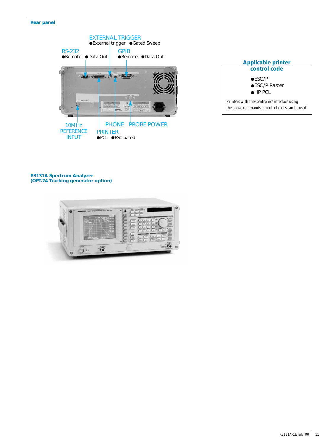![](_page_10_Picture_0.jpeg)

| <b>Applicable printer</b><br>control code                                                        |
|--------------------------------------------------------------------------------------------------|
| $\bullet$ ESC/P<br>●ESC/P Raster<br>$\bullet$ HP PCL                                             |
| Printers with the Centronics interface using<br>the above commands as control codes can be used. |

#### **R3131A Spectrum Analyzer (OPT.74 Tracking generator option)**

![](_page_10_Picture_3.jpeg)